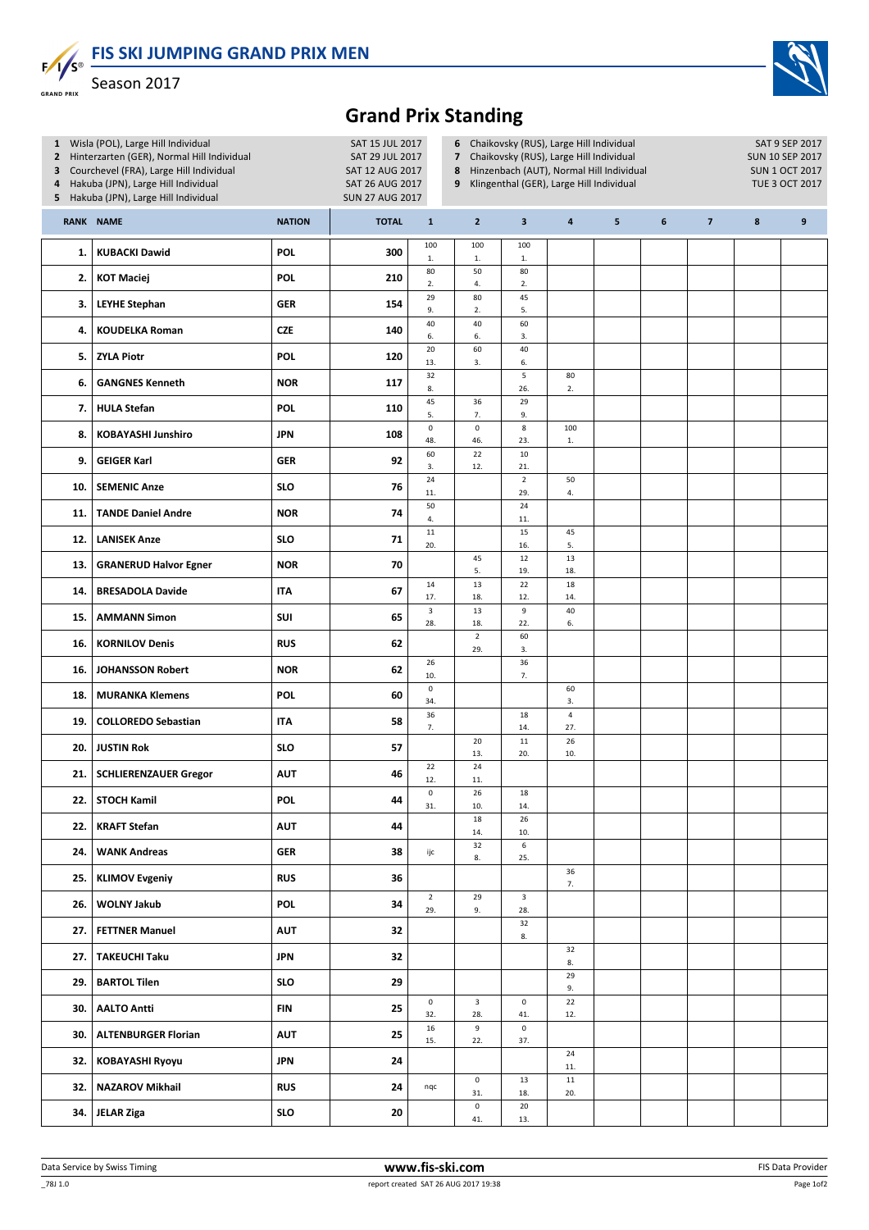FIS SKI JUMPING GRAND PRIX MEN



 $F/I/S^{\circ}$ Season 2017 **GRAND PRIX** 

## Grand Prix Standing

| 1 Wisla (POL), Large Hill Individual<br>Hinterzarten (GER), Normal Hill Individual<br>$\overline{2}$<br>Courchevel (FRA), Large Hill Individual<br>3<br>Hakuba (JPN), Large Hill Individual<br>4<br>5 Hakuba (JPN), Large Hill Individual |                              |               | SAT 15 JUL 2017<br>SAT 29 JUL 2017<br>SAT 12 AUG 2017<br>SAT 26 AUG 2017<br><b>SUN 27 AUG 2017</b> |                       | Chaikovsky (RUS), Large Hill Individual<br>6<br>7 Chaikovsky (RUS), Large Hill Individual<br>Hinzenbach (AUT), Normal Hill Individual<br>8<br>Klingenthal (GER), Large Hill Individual<br>9 |                       |                                |   |   |                |   | SAT 9 SEP 2017<br><b>SUN 10 SEP 2017</b><br><b>SUN 1 OCT 2017</b><br><b>TUE 3 OCT 2017</b> |  |  |
|-------------------------------------------------------------------------------------------------------------------------------------------------------------------------------------------------------------------------------------------|------------------------------|---------------|----------------------------------------------------------------------------------------------------|-----------------------|---------------------------------------------------------------------------------------------------------------------------------------------------------------------------------------------|-----------------------|--------------------------------|---|---|----------------|---|--------------------------------------------------------------------------------------------|--|--|
|                                                                                                                                                                                                                                           | RANK NAME                    | <b>NATION</b> | <b>TOTAL</b>                                                                                       | $\mathbf{1}$          | $\overline{2}$                                                                                                                                                                              | 3                     | $\overline{\mathbf{a}}$        | 5 | 6 | $\overline{7}$ | 8 | 9                                                                                          |  |  |
| 1.                                                                                                                                                                                                                                        | <b>KUBACKI Dawid</b>         | POL           | 300                                                                                                | 100<br>$1.$           | 100<br>$1.$                                                                                                                                                                                 | 100<br>1.             |                                |   |   |                |   |                                                                                            |  |  |
| 2.                                                                                                                                                                                                                                        | <b>KOT Maciej</b>            | <b>POL</b>    | 210                                                                                                | 80<br>2.              | 50<br>4.                                                                                                                                                                                    | 80<br>2.              |                                |   |   |                |   |                                                                                            |  |  |
| 3.                                                                                                                                                                                                                                        | <b>LEYHE Stephan</b>         | GER           | 154                                                                                                | 29<br>9.              | 80<br>2.                                                                                                                                                                                    | 45<br>5.              |                                |   |   |                |   |                                                                                            |  |  |
| 4.                                                                                                                                                                                                                                        | <b>KOUDELKA Roman</b>        | <b>CZE</b>    | 140                                                                                                | 40<br>6.              | 40<br>6.                                                                                                                                                                                    | 60<br>3.              |                                |   |   |                |   |                                                                                            |  |  |
| 5.                                                                                                                                                                                                                                        | <b>ZYLA Piotr</b>            | <b>POL</b>    | 120                                                                                                | 20<br>13.             | 60<br>3.                                                                                                                                                                                    | 40<br>6.              |                                |   |   |                |   |                                                                                            |  |  |
| 6.                                                                                                                                                                                                                                        | <b>GANGNES Kenneth</b>       | <b>NOR</b>    | 117                                                                                                | 32<br>8.              |                                                                                                                                                                                             | 5<br>26.              | 80<br>2.                       |   |   |                |   |                                                                                            |  |  |
| 7.                                                                                                                                                                                                                                        | <b>HULA Stefan</b>           | <b>POL</b>    | 110                                                                                                | 45<br>5.              | 36<br>7.                                                                                                                                                                                    | 29<br>9.              |                                |   |   |                |   |                                                                                            |  |  |
| 8.                                                                                                                                                                                                                                        | <b>KOBAYASHI Junshiro</b>    | <b>JPN</b>    | 108                                                                                                | $\mathsf{o}$<br>48.   | $\pmb{0}$<br>46.                                                                                                                                                                            | $\bf 8$<br>23.        | 100<br>${\bf 1}.$              |   |   |                |   |                                                                                            |  |  |
| 9.                                                                                                                                                                                                                                        | <b>GEIGER Karl</b>           | <b>GER</b>    | 92                                                                                                 | 60<br>3.              | 22<br>12.                                                                                                                                                                                   | $10\,$<br>21.         |                                |   |   |                |   |                                                                                            |  |  |
| 10.                                                                                                                                                                                                                                       | <b>SEMENIC Anze</b>          | <b>SLO</b>    | 76                                                                                                 | 24<br>11.             |                                                                                                                                                                                             | $\overline{2}$<br>29. | 50<br>4.                       |   |   |                |   |                                                                                            |  |  |
| 11.                                                                                                                                                                                                                                       | <b>TANDE Daniel Andre</b>    | <b>NOR</b>    | 74                                                                                                 | 50<br>4.              |                                                                                                                                                                                             | 24<br>11.             |                                |   |   |                |   |                                                                                            |  |  |
| 12.                                                                                                                                                                                                                                       | <b>LANISEK Anze</b>          | <b>SLO</b>    | 71                                                                                                 | $11\,$<br>20.         |                                                                                                                                                                                             | 15<br>16.             | 45<br>5.                       |   |   |                |   |                                                                                            |  |  |
| 13.                                                                                                                                                                                                                                       | <b>GRANERUD Halvor Egner</b> | <b>NOR</b>    | 70                                                                                                 |                       | 45<br>5.                                                                                                                                                                                    | 12<br>19.             | 13<br>18.                      |   |   |                |   |                                                                                            |  |  |
| 14.                                                                                                                                                                                                                                       | <b>BRESADOLA Davide</b>      | <b>ITA</b>    | 67                                                                                                 | $14\,$<br>17.         | 13<br>18.                                                                                                                                                                                   | 22<br>12.             | 18<br>14.                      |   |   |                |   |                                                                                            |  |  |
| 15.                                                                                                                                                                                                                                       | <b>AMMANN Simon</b>          | SUI           | 65                                                                                                 | $\mathbf{3}$<br>28.   | 13<br>18.                                                                                                                                                                                   | 9<br>22.              | 40<br>6.                       |   |   |                |   |                                                                                            |  |  |
| 16.                                                                                                                                                                                                                                       | <b>KORNILOV Denis</b>        | <b>RUS</b>    | 62                                                                                                 |                       | $\overline{2}$<br>29.                                                                                                                                                                       | 60<br>3.              |                                |   |   |                |   |                                                                                            |  |  |
| 16.                                                                                                                                                                                                                                       | <b>JOHANSSON Robert</b>      | <b>NOR</b>    | 62                                                                                                 | 26<br>10.             |                                                                                                                                                                                             | 36<br>7.              |                                |   |   |                |   |                                                                                            |  |  |
| 18.                                                                                                                                                                                                                                       | <b>MURANKA Klemens</b>       | POL           | 60                                                                                                 | $\mathsf{o}$<br>34.   |                                                                                                                                                                                             |                       | 60<br>3.                       |   |   |                |   |                                                                                            |  |  |
| 19.                                                                                                                                                                                                                                       | <b>COLLOREDO Sebastian</b>   | <b>ITA</b>    | 58                                                                                                 | 36<br>7.              |                                                                                                                                                                                             | 18<br>14.             | $\overline{\mathbf{4}}$<br>27. |   |   |                |   |                                                                                            |  |  |
| 20.                                                                                                                                                                                                                                       | <b>JUSTIN Rok</b>            | <b>SLO</b>    | 57                                                                                                 |                       | 20<br>13.                                                                                                                                                                                   | $11\,$<br>20.         | 26<br>10.                      |   |   |                |   |                                                                                            |  |  |
| 21.                                                                                                                                                                                                                                       | <b>SCHLIERENZAUER Gregor</b> | <b>AUT</b>    | 46                                                                                                 | 22<br>12.             | 24<br>11.                                                                                                                                                                                   |                       |                                |   |   |                |   |                                                                                            |  |  |
| 22.                                                                                                                                                                                                                                       | <b>STOCH Kamil</b>           | POL           | 44                                                                                                 | $\pmb{0}$<br>31.      | 26<br>10.                                                                                                                                                                                   | $18\,$<br>14.         |                                |   |   |                |   |                                                                                            |  |  |
| 22.                                                                                                                                                                                                                                       | <b>KRAFT Stefan</b>          | <b>AUT</b>    | 44                                                                                                 |                       | 18<br>14.                                                                                                                                                                                   | 26<br>10.             |                                |   |   |                |   |                                                                                            |  |  |
| 24.                                                                                                                                                                                                                                       | <b>WANK Andreas</b>          | <b>GER</b>    | 38                                                                                                 | ijc                   | 32<br>8.                                                                                                                                                                                    | 6<br>25.              |                                |   |   |                |   |                                                                                            |  |  |
| 25.                                                                                                                                                                                                                                       | <b>KLIMOV Evgeniy</b>        | <b>RUS</b>    | 36                                                                                                 |                       |                                                                                                                                                                                             |                       | 36<br>7.                       |   |   |                |   |                                                                                            |  |  |
| 26.                                                                                                                                                                                                                                       | <b>WOLNY Jakub</b>           | POL           | 34                                                                                                 | $\overline{2}$<br>29. | 29<br>9.                                                                                                                                                                                    | $\mathbf{3}$<br>28.   |                                |   |   |                |   |                                                                                            |  |  |
| 27.                                                                                                                                                                                                                                       | <b>FETTNER Manuel</b>        | <b>AUT</b>    | 32                                                                                                 |                       |                                                                                                                                                                                             | 32<br>8.              |                                |   |   |                |   |                                                                                            |  |  |
| 27.                                                                                                                                                                                                                                       | <b>TAKEUCHI Taku</b>         | JPN           | 32                                                                                                 |                       |                                                                                                                                                                                             |                       | 32<br>8.                       |   |   |                |   |                                                                                            |  |  |
| 29.                                                                                                                                                                                                                                       | <b>BARTOL Tilen</b>          | SLO           | 29                                                                                                 |                       |                                                                                                                                                                                             |                       | 29<br>9.                       |   |   |                |   |                                                                                            |  |  |
| 30.                                                                                                                                                                                                                                       | <b>AALTO Antti</b>           | FIN           | 25                                                                                                 | $\mathsf 0$<br>32.    | $\mathbf{3}$<br>28.                                                                                                                                                                         | $\mathsf{o}\,$<br>41. | $22\,$<br>12.                  |   |   |                |   |                                                                                            |  |  |
| 30.                                                                                                                                                                                                                                       | <b>ALTENBURGER Florian</b>   | <b>AUT</b>    | 25                                                                                                 | $16\,$<br>15.         | 9<br>22.                                                                                                                                                                                    | 0<br>37.              |                                |   |   |                |   |                                                                                            |  |  |
| 32.                                                                                                                                                                                                                                       | <b>KOBAYASHI Ryoyu</b>       | JPN           | 24                                                                                                 |                       |                                                                                                                                                                                             |                       | 24<br>11.                      |   |   |                |   |                                                                                            |  |  |
| 32.                                                                                                                                                                                                                                       | <b>NAZAROV Mikhail</b>       | <b>RUS</b>    | 24                                                                                                 | nqc                   | $\pmb{0}$<br>31.                                                                                                                                                                            | 13<br>18.             | $11\,$<br>20.                  |   |   |                |   |                                                                                            |  |  |
| 34.                                                                                                                                                                                                                                       | <b>JELAR Ziga</b>            | <b>SLO</b>    | 20                                                                                                 |                       | $\mathsf{O}\xspace$<br>41.                                                                                                                                                                  | 20<br>13.             |                                |   |   |                |   |                                                                                            |  |  |